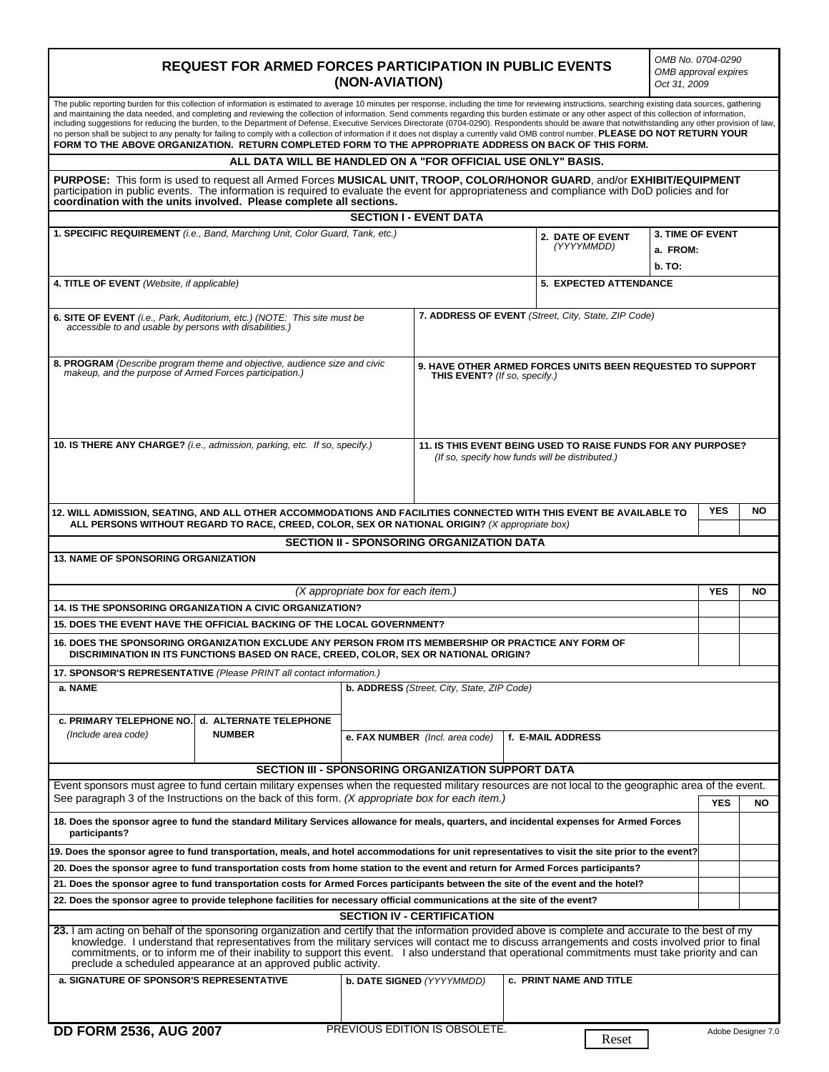| <b>REQUEST FOR ARMED FORCES PARTICIPATION IN PUBLIC EVENTS</b><br>(NON-AVIATION)<br>Oct 31, 2009                                                                                                                                                                                                                                                                                                                                                                                                                                                                                                                                                                                                                                                                                                                                                                                                                            |               |                                                                                                                 |                                                                                             |                   |                                     | OMB No. 0704-0290<br>OMB approval expires |           |  |
|-----------------------------------------------------------------------------------------------------------------------------------------------------------------------------------------------------------------------------------------------------------------------------------------------------------------------------------------------------------------------------------------------------------------------------------------------------------------------------------------------------------------------------------------------------------------------------------------------------------------------------------------------------------------------------------------------------------------------------------------------------------------------------------------------------------------------------------------------------------------------------------------------------------------------------|---------------|-----------------------------------------------------------------------------------------------------------------|---------------------------------------------------------------------------------------------|-------------------|-------------------------------------|-------------------------------------------|-----------|--|
| The public reporting burden for this collection of information is estimated to average 10 minutes per response, including the time for reviewing instructions, searching existing data sources, gathering<br>and maintaining the data needed, and completing and reviewing the collection of information. Send comments regarding this burden estimate or any other aspect of this collection of information,<br>including suggestions for reducing the burden, to the Department of Defense, Executive Services Directorate (0704-0290). Respondents should be aware that notwithstanding any other provision of law,<br>no person shall be subject to any penalty for failing to comply with a collection of information if it does not display a currently valid OMB control number. PLEASE DO NOT RETURN YOUR<br>FORM TO THE ABOVE ORGANIZATION. RETURN COMPLETED FORM TO THE APPROPRIATE ADDRESS ON BACK OF THIS FORM. |               |                                                                                                                 |                                                                                             |                   |                                     |                                           |           |  |
| ALL DATA WILL BE HANDLED ON A "FOR OFFICIAL USE ONLY" BASIS.                                                                                                                                                                                                                                                                                                                                                                                                                                                                                                                                                                                                                                                                                                                                                                                                                                                                |               |                                                                                                                 |                                                                                             |                   |                                     |                                           |           |  |
| PURPOSE: This form is used to request all Armed Forces MUSICAL UNIT, TROOP, COLOR/HONOR GUARD, and/or EXHIBIT/EQUIPMENT<br>participation in public events. The information is required to evaluate the event for appropriateness and compliance with DoD policies and for<br>coordination with the units involved. Please complete all sections.                                                                                                                                                                                                                                                                                                                                                                                                                                                                                                                                                                            |               |                                                                                                                 |                                                                                             |                   |                                     |                                           |           |  |
| <b>SECTION I - EVENT DATA</b>                                                                                                                                                                                                                                                                                                                                                                                                                                                                                                                                                                                                                                                                                                                                                                                                                                                                                               |               |                                                                                                                 |                                                                                             |                   |                                     |                                           |           |  |
| 1. SPECIFIC REQUIREMENT (i.e., Band, Marching Unit, Color Guard, Tank, etc.)<br>2. DATE OF EVENT<br>(YYYYMMDD)                                                                                                                                                                                                                                                                                                                                                                                                                                                                                                                                                                                                                                                                                                                                                                                                              |               |                                                                                                                 |                                                                                             |                   | <b>3. TIME OF EVENT</b><br>a. FROM: |                                           |           |  |
|                                                                                                                                                                                                                                                                                                                                                                                                                                                                                                                                                                                                                                                                                                                                                                                                                                                                                                                             |               |                                                                                                                 |                                                                                             |                   | b. TO:                              |                                           |           |  |
| 4. TITLE OF EVENT (Website, if applicable)<br>5. EXPECTED ATTENDANCE                                                                                                                                                                                                                                                                                                                                                                                                                                                                                                                                                                                                                                                                                                                                                                                                                                                        |               |                                                                                                                 |                                                                                             |                   |                                     |                                           |           |  |
| 7. ADDRESS OF EVENT (Street, City, State, ZIP Code)<br><b>6. SITE OF EVENT</b> (i.e., Park, Auditorium, etc.) (NOTE: This site must be                                                                                                                                                                                                                                                                                                                                                                                                                                                                                                                                                                                                                                                                                                                                                                                      |               |                                                                                                                 |                                                                                             |                   |                                     |                                           |           |  |
| accessible to and usable by persons with disabilities.)                                                                                                                                                                                                                                                                                                                                                                                                                                                                                                                                                                                                                                                                                                                                                                                                                                                                     |               |                                                                                                                 |                                                                                             |                   |                                     |                                           |           |  |
| 8. PROGRAM (Describe program theme and objective, audience size and civic<br>makeup, and the purpose of Armed Forces participation.)                                                                                                                                                                                                                                                                                                                                                                                                                                                                                                                                                                                                                                                                                                                                                                                        |               |                                                                                                                 | 9. HAVE OTHER ARMED FORCES UNITS BEEN REQUESTED TO SUPPORT<br>THIS EVENT? (If so, specify.) |                   |                                     |                                           |           |  |
|                                                                                                                                                                                                                                                                                                                                                                                                                                                                                                                                                                                                                                                                                                                                                                                                                                                                                                                             |               |                                                                                                                 |                                                                                             |                   |                                     |                                           |           |  |
|                                                                                                                                                                                                                                                                                                                                                                                                                                                                                                                                                                                                                                                                                                                                                                                                                                                                                                                             |               |                                                                                                                 |                                                                                             |                   |                                     |                                           |           |  |
| 10. IS THERE ANY CHARGE? (i.e., admission, parking, etc. If so, specify.)                                                                                                                                                                                                                                                                                                                                                                                                                                                                                                                                                                                                                                                                                                                                                                                                                                                   |               | 11. IS THIS EVENT BEING USED TO RAISE FUNDS FOR ANY PURPOSE?<br>(If so, specify how funds will be distributed.) |                                                                                             |                   |                                     |                                           |           |  |
|                                                                                                                                                                                                                                                                                                                                                                                                                                                                                                                                                                                                                                                                                                                                                                                                                                                                                                                             |               |                                                                                                                 |                                                                                             |                   |                                     |                                           |           |  |
| 12. WILL ADMISSION, SEATING, AND ALL OTHER ACCOMMODATIONS AND FACILITIES CONNECTED WITH THIS EVENT BE AVAILABLE TO                                                                                                                                                                                                                                                                                                                                                                                                                                                                                                                                                                                                                                                                                                                                                                                                          |               |                                                                                                                 |                                                                                             |                   |                                     | <b>YES</b>                                | <b>NO</b> |  |
| ALL PERSONS WITHOUT REGARD TO RACE, CREED, COLOR, SEX OR NATIONAL ORIGIN? (X appropriate box)                                                                                                                                                                                                                                                                                                                                                                                                                                                                                                                                                                                                                                                                                                                                                                                                                               |               |                                                                                                                 |                                                                                             |                   |                                     |                                           |           |  |
| <b>SECTION II - SPONSORING ORGANIZATION DATA</b><br>13. NAME OF SPONSORING ORGANIZATION                                                                                                                                                                                                                                                                                                                                                                                                                                                                                                                                                                                                                                                                                                                                                                                                                                     |               |                                                                                                                 |                                                                                             |                   |                                     |                                           |           |  |
|                                                                                                                                                                                                                                                                                                                                                                                                                                                                                                                                                                                                                                                                                                                                                                                                                                                                                                                             |               |                                                                                                                 |                                                                                             |                   |                                     |                                           |           |  |
| (X appropriate box for each item.)                                                                                                                                                                                                                                                                                                                                                                                                                                                                                                                                                                                                                                                                                                                                                                                                                                                                                          |               |                                                                                                                 |                                                                                             |                   | <b>YES</b>                          | <b>NO</b>                                 |           |  |
| 14. IS THE SPONSORING ORGANIZATION A CIVIC ORGANIZATION?                                                                                                                                                                                                                                                                                                                                                                                                                                                                                                                                                                                                                                                                                                                                                                                                                                                                    |               |                                                                                                                 |                                                                                             |                   |                                     |                                           |           |  |
| 15. DOES THE EVENT HAVE THE OFFICIAL BACKING OF THE LOCAL GOVERNMENT?                                                                                                                                                                                                                                                                                                                                                                                                                                                                                                                                                                                                                                                                                                                                                                                                                                                       |               |                                                                                                                 |                                                                                             |                   |                                     |                                           |           |  |
| 16. DOES THE SPONSORING ORGANIZATION EXCLUDE ANY PERSON FROM ITS MEMBERSHIP OR PRACTICE ANY FORM OF<br>DISCRIMINATION IN ITS FUNCTIONS BASED ON RACE, CREED, COLOR, SEX OR NATIONAL ORIGIN?                                                                                                                                                                                                                                                                                                                                                                                                                                                                                                                                                                                                                                                                                                                                 |               |                                                                                                                 |                                                                                             |                   |                                     |                                           |           |  |
| 17. SPONSOR'S REPRESENTATIVE (Please PRINT all contact information.)                                                                                                                                                                                                                                                                                                                                                                                                                                                                                                                                                                                                                                                                                                                                                                                                                                                        |               |                                                                                                                 |                                                                                             |                   |                                     |                                           |           |  |
| b. ADDRESS (Street, City, State, ZIP Code)<br>a. NAME                                                                                                                                                                                                                                                                                                                                                                                                                                                                                                                                                                                                                                                                                                                                                                                                                                                                       |               |                                                                                                                 |                                                                                             |                   |                                     |                                           |           |  |
| c. PRIMARY TELEPHONE NO. d. ALTERNATE TELEPHONE                                                                                                                                                                                                                                                                                                                                                                                                                                                                                                                                                                                                                                                                                                                                                                                                                                                                             |               |                                                                                                                 |                                                                                             |                   |                                     |                                           |           |  |
| (Include area code)                                                                                                                                                                                                                                                                                                                                                                                                                                                                                                                                                                                                                                                                                                                                                                                                                                                                                                         | <b>NUMBER</b> |                                                                                                                 | e. FAX NUMBER (Incl. area code)                                                             | f. E-MAIL ADDRESS |                                     |                                           |           |  |
| <b>SECTION III - SPONSORING ORGANIZATION SUPPORT DATA</b>                                                                                                                                                                                                                                                                                                                                                                                                                                                                                                                                                                                                                                                                                                                                                                                                                                                                   |               |                                                                                                                 |                                                                                             |                   |                                     |                                           |           |  |
| Event sponsors must agree to fund certain military expenses when the requested military resources are not local to the geographic area of the event.                                                                                                                                                                                                                                                                                                                                                                                                                                                                                                                                                                                                                                                                                                                                                                        |               |                                                                                                                 |                                                                                             |                   |                                     |                                           |           |  |
| See paragraph 3 of the Instructions on the back of this form. (X appropriate box for each item.)                                                                                                                                                                                                                                                                                                                                                                                                                                                                                                                                                                                                                                                                                                                                                                                                                            |               |                                                                                                                 |                                                                                             |                   |                                     | <b>YES</b>                                | NO        |  |
| 18. Does the sponsor agree to fund the standard Military Services allowance for meals, quarters, and incidental expenses for Armed Forces<br>participants?                                                                                                                                                                                                                                                                                                                                                                                                                                                                                                                                                                                                                                                                                                                                                                  |               |                                                                                                                 |                                                                                             |                   |                                     |                                           |           |  |
| 19. Does the sponsor agree to fund transportation, meals, and hotel accommodations for unit representatives to visit the site prior to the event?                                                                                                                                                                                                                                                                                                                                                                                                                                                                                                                                                                                                                                                                                                                                                                           |               |                                                                                                                 |                                                                                             |                   |                                     |                                           |           |  |
| 20. Does the sponsor agree to fund transportation costs from home station to the event and return for Armed Forces participants?                                                                                                                                                                                                                                                                                                                                                                                                                                                                                                                                                                                                                                                                                                                                                                                            |               |                                                                                                                 |                                                                                             |                   |                                     |                                           |           |  |
| 21. Does the sponsor agree to fund transportation costs for Armed Forces participants between the site of the event and the hotel?                                                                                                                                                                                                                                                                                                                                                                                                                                                                                                                                                                                                                                                                                                                                                                                          |               |                                                                                                                 |                                                                                             |                   |                                     |                                           |           |  |
| 22. Does the sponsor agree to provide telephone facilities for necessary official communications at the site of the event?                                                                                                                                                                                                                                                                                                                                                                                                                                                                                                                                                                                                                                                                                                                                                                                                  |               |                                                                                                                 |                                                                                             |                   |                                     |                                           |           |  |
| <b>SECTION IV - CERTIFICATION</b><br>23. I am acting on behalf of the sponsoring organization and certify that the information provided above is complete and accurate to the best of my                                                                                                                                                                                                                                                                                                                                                                                                                                                                                                                                                                                                                                                                                                                                    |               |                                                                                                                 |                                                                                             |                   |                                     |                                           |           |  |
| knowledge. I understand that representatives from the military services will contact me to discuss arrangements and costs involved prior to final<br>commitments, or to inform me of their inability to support this event. I also understand that operational commitments must take priority and can<br>preclude a scheduled appearance at an approved public activity.                                                                                                                                                                                                                                                                                                                                                                                                                                                                                                                                                    |               |                                                                                                                 |                                                                                             |                   |                                     |                                           |           |  |
| a. SIGNATURE OF SPONSOR'S REPRESENTATIVE<br>b. DATE SIGNED (YYYYMMDD)<br>c. PRINT NAME AND TITLE                                                                                                                                                                                                                                                                                                                                                                                                                                                                                                                                                                                                                                                                                                                                                                                                                            |               |                                                                                                                 |                                                                                             |                   |                                     |                                           |           |  |
|                                                                                                                                                                                                                                                                                                                                                                                                                                                                                                                                                                                                                                                                                                                                                                                                                                                                                                                             |               |                                                                                                                 |                                                                                             |                   |                                     |                                           |           |  |